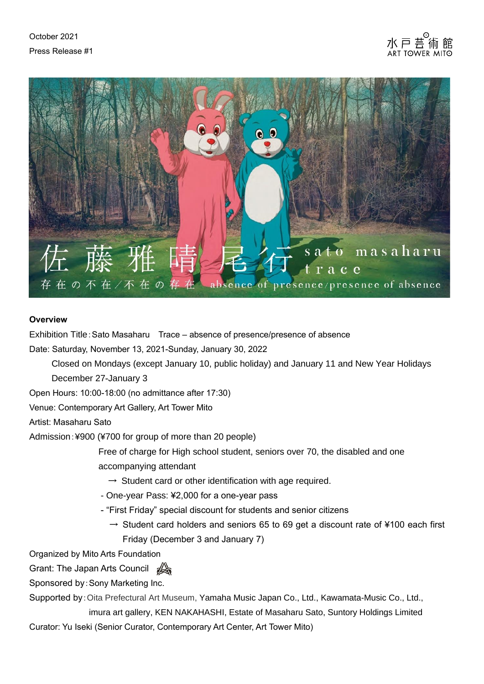



## **Overview**

Exhibition Title:Sato Masaharu Trace – absence of presence/presence of absence

Date: Saturday, November 13, 2021-Sunday, January 30, 2022

Closed on Mondays (except January 10, public holiday) and January 11 and New Year Holidays December 27-January 3

Open Hours: 10:00-18:00 (no admittance after 17:30)

Venue: Contemporary Art Gallery, Art Tower Mito

Artist: Masaharu Sato

Admission:¥900 (¥700 for group of more than 20 people)

Free of charge for High school student, seniors over 70, the disabled and one accompanying attendant

- $\rightarrow$  Student card or other identification with age required.
- One-year Pass: ¥2,000 for a one-year pass
- "First Friday" special discount for students and senior citizens
	- $\rightarrow$  Student card holders and seniors 65 to 69 get a discount rate of ¥100 each first Friday (December 3 and January 7)

Organized by Mito Arts Foundation

Grant: The Japan Arts Council

Sponsored by:Sony Marketing Inc.

Supported by:Oita Prefectural Art Museum, Yamaha Music Japan Co., Ltd., Kawamata-Music Co., Ltd.,

imura art gallery, KEN NAKAHASHI, Estate of Masaharu Sato, Suntory Holdings Limited Curator: Yu Iseki (Senior Curator, Contemporary Art Center, Art Tower Mito)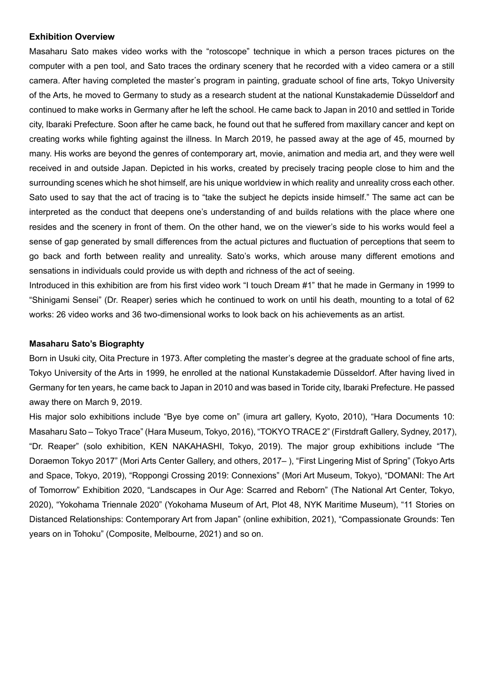#### **Exhibition Overview**

Masaharu Sato makes video works with the "rotoscope" technique in which a person traces pictures on the computer with a pen tool, and Sato traces the ordinary scenery that he recorded with a video camera or a still camera. After having completed the master's program in painting, graduate school of fine arts, Tokyo University of the Arts, he moved to Germany to study as a research student at the national Kunstakademie Düsseldorf and continued to make works in Germany after he left the school. He came back to Japan in 2010 and settled in Toride city, Ibaraki Prefecture. Soon after he came back, he found out that he suffered from maxillary cancer and kept on creating works while fighting against the illness. In March 2019, he passed away at the age of 45, mourned by many. His works are beyond the genres of contemporary art, movie, animation and media art, and they were well received in and outside Japan. Depicted in his works, created by precisely tracing people close to him and the surrounding scenes which he shot himself, are his unique worldview in which reality and unreality cross each other. Sato used to say that the act of tracing is to "take the subject he depicts inside himself." The same act can be interpreted as the conduct that deepens one's understanding of and builds relations with the place where one resides and the scenery in front of them. On the other hand, we on the viewer's side to his works would feel a sense of gap generated by small differences from the actual pictures and fluctuation of perceptions that seem to go back and forth between reality and unreality. Sato's works, which arouse many different emotions and sensations in individuals could provide us with depth and richness of the act of seeing.

Introduced in this exhibition are from his first video work "I touch Dream #1" that he made in Germany in 1999 to "Shinigami Sensei" (Dr. Reaper) series which he continued to work on until his death, mounting to a total of 62 works: 26 video works and 36 two-dimensional works to look back on his achievements as an artist.

#### **Masaharu Sato's Biographty**

Born in Usuki city, Oita Precture in 1973. After completing the master's degree at the graduate school of fine arts, Tokyo University of the Arts in 1999, he enrolled at the national Kunstakademie Düsseldorf. After having lived in Germany for ten years, he came back to Japan in 2010 and was based in Toride city, Ibaraki Prefecture. He passed away there on March 9, 2019.

His major solo exhibitions include "Bye bye come on" (imura art gallery, Kyoto, 2010), "Hara Documents 10: Masaharu Sato – Tokyo Trace" (Hara Museum, Tokyo, 2016), "TOKYO TRACE 2" (Firstdraft Gallery, Sydney, 2017), "Dr. Reaper" (solo exhibition, KEN NAKAHASHI, Tokyo, 2019). The major group exhibitions include "The Doraemon Tokyo 2017" (Mori Arts Center Gallery, and others, 2017– ), "First Lingering Mist of Spring" (Tokyo Arts and Space, Tokyo, 2019), "Roppongi Crossing 2019: Connexions" (Mori Art Museum, Tokyo), "DOMANI: The Art of Tomorrow" Exhibition 2020, "Landscapes in Our Age: Scarred and Reborn" (The National Art Center, Tokyo, 2020), "Yokohama Triennale 2020" (Yokohama Museum of Art, Plot 48, NYK Maritime Museum), "11 Stories on Distanced Relationships: Contemporary Art from Japan" (online exhibition, 2021), "Compassionate Grounds: Ten years on in Tohoku" (Composite, Melbourne, 2021) and so on.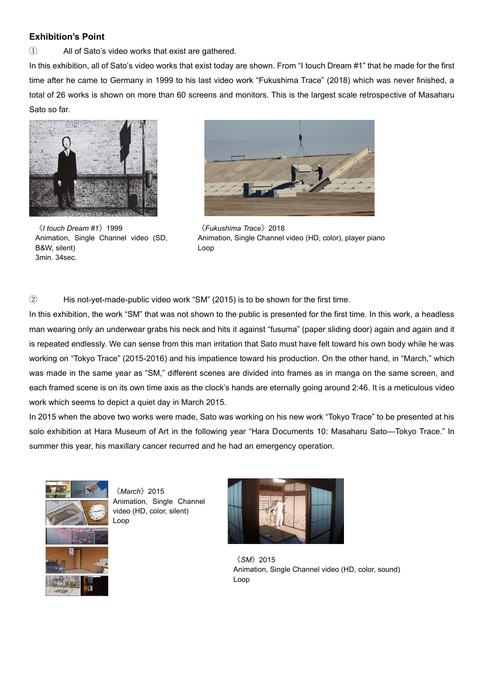### **Exhibition's Point**

① All of Sato's video works that exist are gathered.

In this exhibition, all of Sato's video works that exist today are shown. From "I touch Dream #1" that he made for the first time after he came to Germany in 1999 to his last video work "Fukushima Trace" (2018) which was never finished, a total of 26 works is shown on more than 60 screens and monitors. This is the largest scale retrospective of Masaharu Sato so far.



《*I touch Dream #1*》1999 Animation, Single Channel video (SD, B&W, silent) 3min. 34sec.



《*Fukushima Trace*》2018 Animation, Single Channel video (HD, color), player piano Loop

② His not-yet-made-public video work "SM" (2015) is to be shown for the first time.

In this exhibition, the work "SM" that was not shown to the public is presented for the first time. In this work, a headless man wearing only an underwear grabs his neck and hits it against "fusuma" (paper sliding door) again and again and it is repeated endlessly. We can sense from this man irritation that Sato must have felt toward his own body while he was working on "Tokyo Trace" (2015-2016) and his impatience toward his production. On the other hand, in "March," which was made in the same year as "SM," different scenes are divided into frames as in manga on the same screen, and each framed scene is on its own time axis as the clock's hands are eternally going around 2:46. It is a meticulous video work which seems to depict a quiet day in March 2015.

In 2015 when the above two works were made, Sato was working on his new work "Tokyo Trace" to be presented at his solo exhibition at Hara Museum of Art in the following year "Hara Documents 10: Masaharu Sato—Tokyo Trace." In summer this year, his maxillary cancer recurred and he had an emergency operation.



《*March*》2015 Animation, Single Channel video (HD, color, silent) Loop



《*SM*》2015 Animation, Single Channel video (HD, color, sound) Loop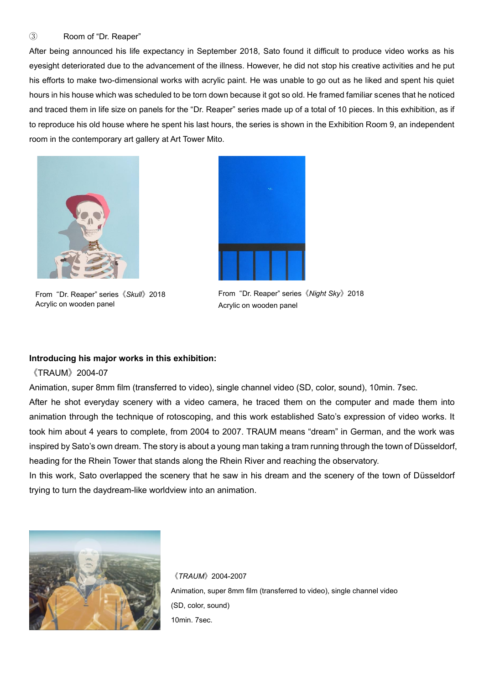#### ③ Room of "Dr. Reaper"

After being announced his life expectancy in September 2018, Sato found it difficult to produce video works as his eyesight deteriorated due to the advancement of the illness. However, he did not stop his creative activities and he put his efforts to make two-dimensional works with acrylic paint. He was unable to go out as he liked and spent his quiet hours in his house which was scheduled to be torn down because it got so old. He framed familiar scenes that he noticed and traced them in life size on panels for the "Dr. Reaper" series made up of a total of 10 pieces. In this exhibition, as if to reproduce his old house where he spent his last hours, the series is shown in the Exhibition Room 9, an independent room in the contemporary art gallery at Art Tower Mito.



From "Dr. Reaper" series《*Skull*》2018 Acrylic on wooden panel



From "Dr. Reaper" series《*Night Sky*》2018 Acrylic on wooden panel

#### **Introducing his major works in this exhibition:**

### 《TRAUM》2004-07

Animation, super 8mm film (transferred to video), single channel video (SD, color, sound), 10min. 7sec.

After he shot everyday scenery with a video camera, he traced them on the computer and made them into animation through the technique of rotoscoping, and this work established Sato's expression of video works. It took him about 4 years to complete, from 2004 to 2007. TRAUM means "dream" in German, and the work was inspired by Sato's own dream. The story is about a young man taking a tram running through the town of Düsseldorf, heading for the Rhein Tower that stands along the Rhein River and reaching the observatory.

In this work, Sato overlapped the scenery that he saw in his dream and the scenery of the town of Düsseldorf trying to turn the daydream-like worldview into an animation.



《*TRAUM*》2004-2007 Animation, super 8mm film (transferred to video), single channel video (SD, color, sound) 10min. 7sec.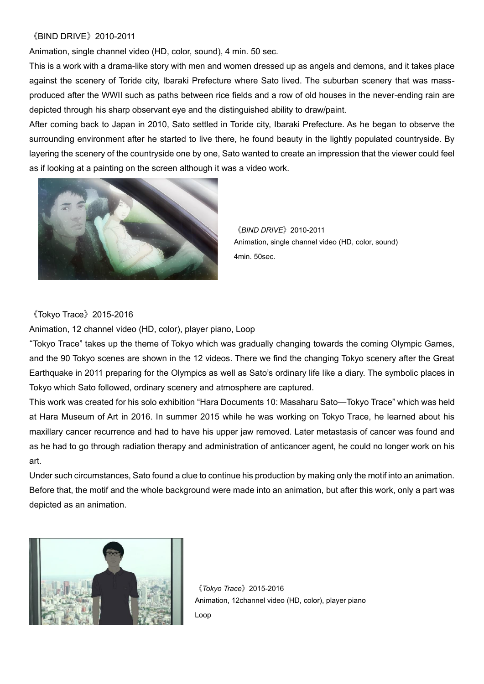## 《BIND DRIVE》2010-2011

Animation, single channel video (HD, color, sound), 4 min. 50 sec.

This is a work with a drama-like story with men and women dressed up as angels and demons, and it takes place against the scenery of Toride city, Ibaraki Prefecture where Sato lived. The suburban scenery that was massproduced after the WWII such as paths between rice fields and a row of old houses in the never-ending rain are depicted through his sharp observant eye and the distinguished ability to draw/paint.

After coming back to Japan in 2010, Sato settled in Toride city, Ibaraki Prefecture. As he began to observe the surrounding environment after he started to live there, he found beauty in the lightly populated countryside. By layering the scenery of the countryside one by one, Sato wanted to create an impression that the viewer could feel as if looking at a painting on the screen although it was a video work.



《*BIND DRIVE*》2010-2011 Animation, single channel video (HD, color, sound) 4min. 50sec.

### 《Tokyo Trace》2015-2016

Animation, 12 channel video (HD, color), player piano, Loop

"Tokyo Trace" takes up the theme of Tokyo which was gradually changing towards the coming Olympic Games, and the 90 Tokyo scenes are shown in the 12 videos. There we find the changing Tokyo scenery after the Great Earthquake in 2011 preparing for the Olympics as well as Sato's ordinary life like a diary. The symbolic places in Tokyo which Sato followed, ordinary scenery and atmosphere are captured.

This work was created for his solo exhibition "Hara Documents 10: Masaharu Sato—Tokyo Trace" which was held at Hara Museum of Art in 2016. In summer 2015 while he was working on Tokyo Trace, he learned about his maxillary cancer recurrence and had to have his upper jaw removed. Later metastasis of cancer was found and as he had to go through radiation therapy and administration of anticancer agent, he could no longer work on his art.

Under such circumstances, Sato found a clue to continue his production by making only the motif into an animation. Before that, the motif and the whole background were made into an animation, but after this work, only a part was depicted as an animation.



《*Tokyo Trace*》2015-2016 Animation, 12channel video (HD, color), player piano Loop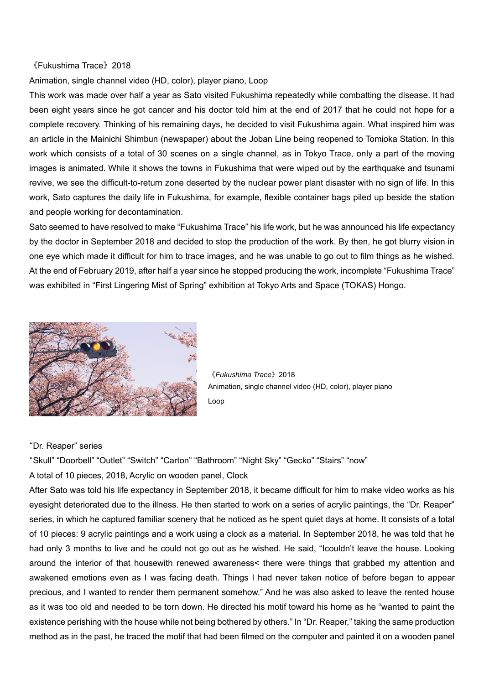#### 《Fukushima Trace》2018

Animation, single channel video (HD, color), player piano, Loop

This work was made over half a year as Sato visited Fukushima repeatedly while combatting the disease. It had been eight years since he got cancer and his doctor told him at the end of 2017 that he could not hope for a complete recovery. Thinking of his remaining days, he decided to visit Fukushima again. What inspired him was an article in the Mainichi Shimbun (newspaper) about the Joban Line being reopened to Tomioka Station. In this work which consists of a total of 30 scenes on a single channel, as in Tokyo Trace, only a part of the moving images is animated. While it shows the towns in Fukushima that were wiped out by the earthquake and tsunami revive, we see the difficult-to-return zone deserted by the nuclear power plant disaster with no sign of life. In this work, Sato captures the daily life in Fukushima, for example, flexible container bags piled up beside the station and people working for decontamination.

Sato seemed to have resolved to make "Fukushima Trace" his life work, but he was announced his life expectancy by the doctor in September 2018 and decided to stop the production of the work. By then, he got blurry vision in one eye which made it difficult for him to trace images, and he was unable to go out to film things as he wished. At the end of February 2019, after half a year since he stopped producing the work, incomplete "Fukushima Trace" was exhibited in "First Lingering Mist of Spring" exhibition at Tokyo Arts and Space (TOKAS) Hongo.



《*Fukushima Trace*》2018 Animation, single channel video (HD, color), player piano Loop

#### "Dr. Reaper" series

"Skull" "Doorbell" "Outlet" "Switch" "Carton" "Bathroom" "Night Sky" "Gecko" "Stairs" "now"

A total of 10 pieces, 2018, Acrylic on wooden panel, Clock

After Sato was told his life expectancy in September 2018, it became difficult for him to make video works as his eyesight deteriorated due to the illness. He then started to work on a series of acrylic paintings, the "Dr. Reaper" series, in which he captured familiar scenery that he noticed as he spent quiet days at home. It consists of a total of 10 pieces: 9 acrylic paintings and a work using a clock as a material. In September 2018, he was told that he had only 3 months to live and he could not go out as he wished. He said, "Icouldn't leave the house. Looking around the interior of that housewith renewed awareness< there were things that grabbed my attention and awakened emotions even as I was facing death. Things I had never taken notice of before began to appear precious, and I wanted to render them permanent somehow." And he was also asked to leave the rented house as it was too old and needed to be torn down. He directed his motif toward his home as he "wanted to paint the existence perishing with the house while not being bothered by others." In "Dr. Reaper," taking the same production method as in the past, he traced the motif that had been filmed on the computer and painted it on a wooden panel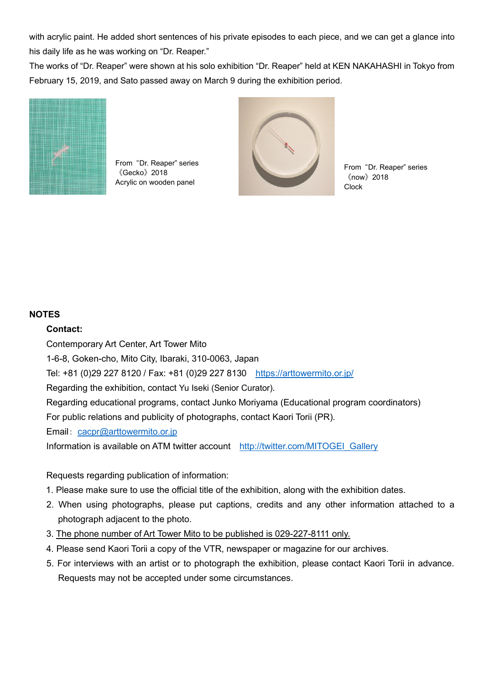with acrylic paint. He added short sentences of his private episodes to each piece, and we can get a glance into his daily life as he was working on "Dr. Reaper."

The works of "Dr. Reaper" were shown at his solo exhibition "Dr. Reaper" held at KEN NAKAHASHI in Tokyo from February 15, 2019, and Sato passed away on March 9 during the exhibition period.



From "Dr. Reaper" series 《Gecko》2018 Acrylic on wooden panel



From "Dr. Reaper" series 《now》2018 **Clock** 

## **NOTES**

### **Contact:**

Contemporary Art Center, Art Tower Mito

1-6-8, Goken-cho, Mito City, Ibaraki, 310-0063, Japan

Tel: +81 (0)29 227 8120 / Fax: +81 (0)29 227 8130 <https://arttowermito.or.jp/>

Regarding the exhibition, contact Yu Iseki (Senior Curator).

Regarding educational programs, contact Junko Moriyama (Educational program coordinators)

For public relations and publicity of photographs, contact Kaori Torii (PR).

Email: [cacpr@arttowermito.or.jp](file://///PSYCHE/bijutsu/広報/重要書類_PSYCHE/展覧会2016/16-04藤森照信/プレスリリース/cacpr@arttowermito.or.jp)

Information is available on ATM twitter account [http://twitter.com/MITOGEI\\_Gallery](http://twitter.com/MITOGEI_Gallery)

Requests regarding publication of information:

- 1. Please make sure to use the official title of the exhibition, along with the exhibition dates.
- 2. When using photographs, please put captions, credits and any other information attached to a photograph adjacent to the photo.
- 3. The phone number of Art Tower Mito to be published is 029-227-8111 only.
- 4. Please send Kaori Torii a copy of the VTR, newspaper or magazine for our archives.
- 5. For interviews with an artist or to photograph the exhibition, please contact Kaori Torii in advance. Requests may not be accepted under some circumstances.